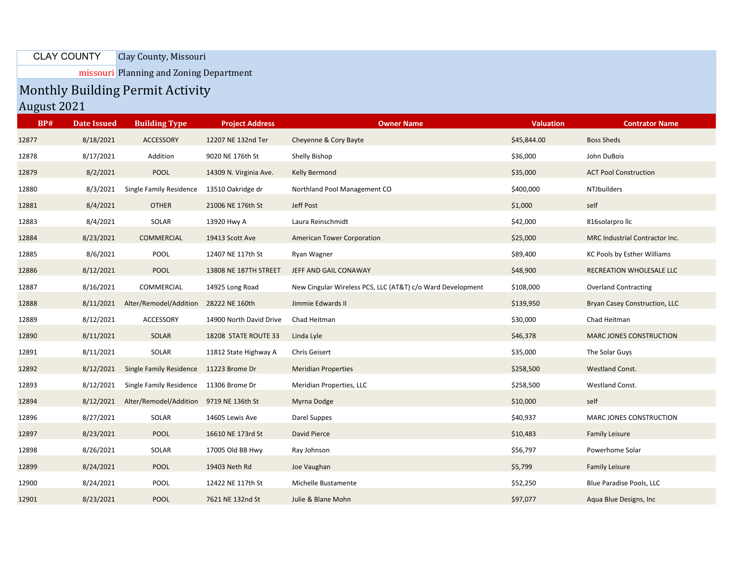Clay County, Missouri CLAY COUNTY

missouri Planning and Zoning Department

## Monthly Building Permit Activity

August 2021

| BP#   | <b>Date Issued</b> | <b>Building Type</b>                    | <b>Project Address</b>  | <b>Owner Name</b>                                          | <b>Valuation</b> | <b>Contrator Name</b>                |
|-------|--------------------|-----------------------------------------|-------------------------|------------------------------------------------------------|------------------|--------------------------------------|
| 12877 | 8/18/2021          | ACCESSORY                               | 12207 NE 132nd Ter      | Cheyenne & Cory Bayte                                      | \$45,844.00      | <b>Boss Sheds</b>                    |
| 12878 | 8/17/2021          | Addition                                | 9020 NE 176th St        | Shelly Bishop                                              | \$36,000         | John DuBois                          |
| 12879 | 8/2/2021           | POOL                                    | 14309 N. Virginia Ave.  | <b>Kelly Bermond</b>                                       | \$35,000         | <b>ACT Pool Construction</b>         |
| 12880 | 8/3/2021           | Single Family Residence                 | 13510 Oakridge dr       | Northland Pool Management CO                               | \$400,000        | <b>NTJbuilders</b>                   |
| 12881 | 8/4/2021           | <b>OTHER</b>                            | 21006 NE 176th St       | Jeff Post                                                  | \$1,000          | self                                 |
| 12883 | 8/4/2021           | SOLAR                                   | 13920 Hwy A             | Laura Reinschmidt                                          | \$42,000         | 816solarprollc                       |
| 12884 | 8/23/2021          | COMMERCIAL                              | 19413 Scott Ave         | <b>American Tower Corporation</b>                          | \$25,000         | MRC Industrial Contractor Inc.       |
| 12885 | 8/6/2021           | POOL                                    | 12407 NE 117th St       | Ryan Wagner                                                | \$89,400         | KC Pools by Esther Williams          |
| 12886 | 8/12/2021          | <b>POOL</b>                             | 13808 NE 187TH STREET   | JEFF AND GAIL CONAWAY                                      | \$48,900         | RECREATION WHOLESALE LLC             |
| 12887 | 8/16/2021          | COMMERCIAL                              | 14925 Long Road         | New Cingular Wireless PCS, LLC (AT&T) c/o Ward Development | \$108,000        | <b>Overland Contracting</b>          |
| 12888 | 8/11/2021          | Alter/Remodel/Addition 28222 NE 160th   |                         | Jimmie Edwards II                                          | \$139,950        | <b>Bryan Casey Construction, LLC</b> |
| 12889 | 8/12/2021          | <b>ACCESSORY</b>                        | 14900 North David Drive | Chad Heitman                                               | \$30,000         | Chad Heitman                         |
| 12890 | 8/11/2021          | <b>SOLAR</b>                            | 18208 STATE ROUTE 33    | Linda Lyle                                                 | \$46,378         | MARC JONES CONSTRUCTION              |
| 12891 | 8/11/2021          | SOLAR                                   | 11812 State Highway A   | Chris Geisert                                              | \$35,000         | The Solar Guys                       |
| 12892 | 8/12/2021          | Single Family Residence 11223 Brome Dr  |                         | <b>Meridian Properties</b>                                 | \$258,500        | Westland Const.                      |
| 12893 | 8/12/2021          | Single Family Residence 11306 Brome Dr  |                         | Meridian Properties, LLC                                   | \$258,500        | Westland Const.                      |
| 12894 | 8/12/2021          | Alter/Remodel/Addition 9719 NE 136th St |                         | Myrna Dodge                                                | \$10,000         | self                                 |
| 12896 | 8/27/2021          | SOLAR                                   | 14605 Lewis Ave         | Darel Suppes                                               | \$40,937         | MARC JONES CONSTRUCTION              |
| 12897 | 8/23/2021          | <b>POOL</b>                             | 16610 NE 173rd St       | David Pierce                                               | \$10,483         | <b>Family Leisure</b>                |
| 12898 | 8/26/2021          | SOLAR                                   | 17005 Old BB Hwy        | Ray Johnson                                                | \$56,797         | Powerhome Solar                      |
| 12899 | 8/24/2021          | <b>POOL</b>                             | 19403 Neth Rd           | Joe Vaughan                                                | \$5,799          | <b>Family Leisure</b>                |
| 12900 | 8/24/2021          | POOL                                    | 12422 NE 117th St       | Michelle Bustamente                                        | \$52,250         | Blue Paradise Pools, LLC             |
| 12901 | 8/23/2021          | <b>POOL</b>                             | 7621 NE 132nd St        | Julie & Blane Mohn                                         | \$97,077         | Aqua Blue Designs, Inc.              |